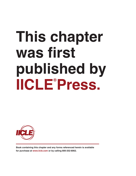# **This chapter was first published by IICLE® Press.**



**Book containing this chapter and any forms referenced herein is available for purchase at www.iicle.com or by calling 800-252-8062.**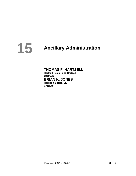## **Ancillary Administration 15**

### **THOMAS F. HARTZELL**

**Hartzell Tucker and Hartzell Carthage BRIAN K. JONES Harrison & Held, LLP Chicago**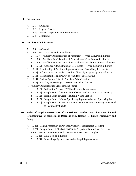#### **I. Introduction**

- A. [15.1] In General
- B. [15.2] Scope of Chapter
- C. [15.3] Descent, Disposition, and Administration
- D. [15.4] Definitions

#### **II. Ancillary Administration**

- A. [15.5] In General
- B. [15.6] Must There Be Probate in Illinois?
	- 1. [15.7] Ancillary Administration of Personalty When Required in Illinois
	- 2. [15.8] Ancillary Administration of Personalty When Desired in Illinois
	- 3. [15.9] Ancillary Administration of Personalty Distribution of Personal Estate
	- 4. [15.10] Ancillary Administration of Real Estate When Required in Illinois
- C. [15.11] Relationship of Ancillary Representative and Domiciliary Representative
- D. [15.12] Admission of Nonresident's Will in Illinois by Copy or by Original Proof
- E. [15.13] Responsibilities and Powers of Ancillary Representative
- F. [15.14] Claims Against Estate in Ancillary Administration
- G. [15.15] Ancillary Proceedings Accounting and Settlement
- H. Ancillary Administration Procedure and Forms
	- 1. [15.16] Petition for Probate of Will and Letters Testamentary
	- 2. [15.17] Sample Form of Petition for Probate of Will and Letters Testamentary
	- 3. [15.18] Sample Form of Order Admitting Will to Probate
	- 4. [15.19] Sample Form of Order Appointing Representative and Approving Bond
	- 5. [15.20] Sample Form of Order Appointing Representative and Designating Bond as Required by Statute

#### **III. Rights of Legal Representative of Nonresident Decedent and Limitation of Legal Representative of Nonresident Decedent with Respect to Illinois Personalty and Realty**

- A. [15.21] Taking Possession of Personal Property of Nonresident Decedent
- B. [15.22] Sample Form of Affidavit To Obtain Property of Nonresident Decedent
- C. Foreign Personal Representative for Nonresident Decedent Rights
	- 1. [15.23] Right To Sue in Illinois
	- 2. [15.24] Proceedings Against Nonresident Legal Representative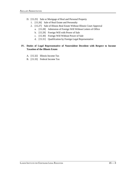- D. [15.25] Sale or Mortgage of Real and Personal Property
	- 1. [15.26] Sale of Real Estate and Personalty
	- 2. [15.27] Sale of Illinois Real Estate Without Illinois Court Approval
		- a. [15.28] Admission of Foreign Will Without Letters of Office
		- b. [15.29] Foreign Will with Power of Sale
		- c. [15.30] Foreign Will Without Power of Sale
		- d. [15.31] Qualification by Foreign Legal Representative

#### **IV. Duties of Legal Representative of Nonresident Decedent with Respect to Income Taxation of the Illinois Estate**

- A. [15.32] Illinois Income Tax
- B. [15.33] Federal Income Tax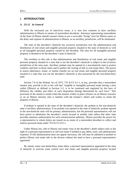#### **I. INTRODUCTION**

#### **A. [15.1] In General**

 With the increased use of intervivos trusts, it is now less common to have ancillary administration in Illinois in estates of nonresident decedents. Attorneys representing nonresidents of the State of Illinois should counsel clients to use a revocable "living" trust for Illinois assets so the delay and expense of administration in Illinois, as an ancillary jurisdiction, will be eliminated.

 The state of the decedent's domicile has exclusive jurisdiction over the administration and distribution of real estate and tangible personal property situated in the state of domicile as well as all intangible personal property owned by the decedent. The situs for all intangible personal property is deemed to be the decedent's state of domicile.

 The corollary to this rule is that administration and distribution of real estate and tangible personal property situated in a state that is not the decedent's domicile is subject to the exclusive jurisdiction of the situs state. Ancillary probate may be opened in a non-domicile state to protect creditors and heirs in those states and to perfect the vesting of title to real estate there. The power to assess inheritance, estate, or similar transfer tax on real estate and tangible personal property situated in a state that was not the decedent's domicile is also possessed by the non-domiciliary state.

 Section 7-6 of the Probate Act of 1975, 755 ILCS 5/1-1, *et seq.,* provides that a nonresident testator may provide in his or her will that "tangible or intangible personal estate having a situs within [Illinois] as defined in Section 5-2, is to be construed and regulated by the laws of [Illinois], the validity and effect of such disposition [being] determined by such laws." This provision of the statute is useful when the testator wishes to place reliance on an Illinois executor or on an Illinois attorney who is familiar with the testator's affairs and wishes to retain the property in Illinois.

 If probate is opened in the state of the decedent's domicile, the probate in the non-domicile state is ancillary administration. If no probate was opened in the state of domicile, probate opened in the non-domicile state will be primary administration, but the personal representative will not have power to administer the decedent's assets located in another state unless that other state provides statutory authorization for such extraterritorial authority. Illinois provides the power for a representative to whom letters are issued on an estate of a nonresident decedent to collect and remove personal estate under 755 ILCS 5/22-1.

 Under Illinois law, title to Illinois real estate vests at the decedent's death subject only to the right of a personal representative to sell real estate if needed to pay debts, taxes, and administrator expenses. If full administration does not appear necessary, the will may be admitted to probate to perfect Illinois real estate title in the devises without the need to have a personal representative appointed.

 By statute, many non-domiciliary states allow a personal representative appointed in the state of domicile to exercise some control over real estate and tangible personal property located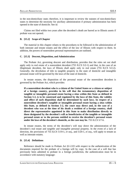in the non-domiciliary state; therefore, it is important to review the statutes of non-domiciliary states to determine the necessity for ancillary administration if primary administration has been opened in the state of domicile. See *id.*

 Claims not filed within two years after the decedent's death are barred as to Illinois assets if probate was not opened.

#### **B. [15.2] Scope of Chapter**

 The material in this chapter relates to the procedures to be followed in the administration of both intestate and testate estates and the effect of the law of Illinois with respect to them. In addition, the powers of nonresident personal representatives are outlined.

#### **C. [15.3] Descent, Disposition, and Administration**

 The Probate Act, governing descent and distribution, provides that the rules set out shall apply only to real estate of a nonresident decedent (755 ILCS 5/2-1) and that, in the case of an illegitimate decedent, the laws of Illinois shall apply only to real estate (755 ILCS 5/2-2). Generally, the devolution of title to tangible property in the state of domicile and intangible personal estate will be governed by the laws of the state of domicile.

 In testate estates, the disposition of the personal estate of the nonresident decedent is governed by the Probate Act, which provides:

**If a nonresident decedent who is a citizen of the United States or a citizen or subject of a foreign country, provides in his will that the testamentary disposition of tangible or intangible personal estate having a situs within this State as defined in Section 5-2, is to be construed and regulated by the laws of this State, the validity and effect of such disposition shall be determined by such laws. In respect of a nonresident decedent's tangible or intangible personal estate having a situs within this State, as defined in Section 5-2, the court may direct and, in the case of a decedent who was at the time of his death a resident of a foreign country, shall direct the representative appointed in this State to make distribution directly to those designated by the decedent's will as beneficiaries of the tangible or intangible personal estate or to the persons entitled to receive the decedent's personal estate under the laws of the decedent's domicile, as the case may be.** 755 ILCS 5/7-6.

 In testate estates, the terms of the decedent's will may direct the administration of the decedent's real estate and tangible and intangible personal property. In the event of a lack of direction, the provisions of 755 ILCS 5/19-1, *et seq.,* and 5/20-1, *et seq.,* will apply to testate as well as intestate estates.

#### **D. [15.4] Definitions**

 Reference should be made to Probate Act §1-2.03 with respect to the authentication of the documents required for the probate of a foreign will by copy. In the case of a will that has previously been admitted to probate in a foreign jurisdiction, the authentication must be in accordance with statutory language: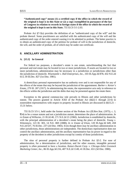**"Authenticated copy" means (1) a certified copy if the office in which the record of the original is kept is in this State or (2) a copy exemplified in pursuance of the law of Congress in relation to records in foreign states if the office in which the record of the original is kept is not in this State.** 755 ILCS 5/1-2.03.

 Probate Act §7-3(a) provides the definition of an "authenticated copy of the will" and the probate thereof. Some practitioners are satisfied with the authenticated copy of the will and the authenticated copy of the order entered causing it to be admitted to probate. The better practice is to obtain an authenticated copy of the petition for probate of will in the jurisdiction of domicile, the will, and the order of probate, all of which may be under one certificate.

#### **II. ANCILLARY ADMINISTRATION**

#### **A. [15.5] In General**

 For federal tax purposes, a decedent's estate is one estate, notwithstanding the fact that personal and real estate may be located in two or more jurisdictions. If assets are located in two or more jurisdictions, administration may be necessary in a jurisdiction or jurisdictions other than the jurisdiction of domicile. *Wisemantle v. Hull Enterprises, Inc.,* 103 Ill.App.3d 878, 432 N.E.2d 613, 59 Ill.Dec. 827 (1st Dist. 1981).

 A domiciliary personal representative has no authority over and is not responsible for any of the effects of the estate that may be beyond the jurisdiction of the appointment. *Barber v. Keiser's Estate,* 279 Ill. 287 (1917). In administering the estate, the representative acts only in reference to the effects within the jurisdiction and the debts that may be presented against the estate there.

 Exception to the general common-law rule prevails in Illinois and other jurisdictions by statute. The powers granted in Article XXII of the Probate Act (§§22-1 through 22-6) to nonresident representatives with respect to property located in Illinois are discussed in §§15.21 – 15.31 below.

 755 ILCS 5/5-1, held under the former section of the Probate Act (Ill.Rev.Stat. (1975), c. 3, ¶54) to be a venue statute and not a jurisdiction statute, determines the place of administration. *In re Estate of Willavize,* 21 Ill.2d 40, 171 N.E.2d 21 (1960). Jurisdiction is established by domicile, with the principal administration of a decedent's estate being the place of domicile. *Young v. Wittenmyre,* 123 Ill. 303, 14 N.E. 869 (1888); *In re Estate of Elson,* 120 Ill.App.3d 649, 458 N.E.2d 637, 76 Ill.Dec. 237 (2d Dist. 1983). Even though there may be ancillary administration in other jurisdictions, those administrations are independent. The domiciliary representative does not control the ancillary administration, and the ancillary representative has no power in regard to the property of the decedent in other jurisdictions except by comity of those jurisdictions.

 The situs of personal property is further defined in Probate Act §5-2. For ease of administration, for a determination of jurisdiction, and for other reasons, intangible personal property is often presumed to have a location. *Kaiser-Ducett Corp. v. Chicago-Joliet Livestock Marketing Center, Inc.,* 86 Ill.App.3d 216, 407 N.E.2d 1149, 41 Ill.Dec. 651 (3d Dist. 1980).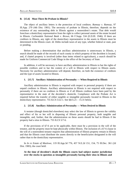#### **B. [15.6] Must There Be Probate in Illinois?**

 The object of ancillary letters is the protection of local creditors. *Ramsay v. Ramsay,* 97 Ill.App. 270 (4th Dist. 1901). The necessity of probate in Illinois, therefore, depends on the existence of any outstanding debt in Illinois against a nonresident's estate. That debt would foreclose a domiciliary representative from the right to collect personal assets of the estate located in Illinois. *Carbondale National Bank v. Brown,* 66 F.Supp. 534 (E.D.Ill. 1946). If there are creditors in Illinois, any right of the domiciliary representative to the assets in Illinois must be determined in the Illinois court. *Id.* Debts include taxes of any type, whether federal or state, past or pending.

 Before making a determination that ancillary administration is unnecessary in Illinois, a search should be made of the records of each county in which property of the decedent is located, and, if chattel property is involved (other than items related to agriculture), a search should be made for Uniform Commercial Code filings in the office of the Secretary of State.

 In addition, it will be necessary to have ancillary administration in Illinois to bar the rights of possible creditors and to bar the contest of a will in Illinois with respect to Illinois assets. Necessity for ancillary administration will depend, therefore, on both the existence of creditors and the type of assets located in Illinois.

#### **1. [15.7] Ancillary Administration of Personalty — When Required in Illinois**

 Ancillary administration in Illinois is required with respect to personal property if there are unpaid creditors in Illinois. Ancillary administration in Illinois is not required with respect to personalty if there are no creditors in Illinois or if all Illinois creditors have been paid by the representative in the state of the decedent's domicile. Compliance with the Probate Act is required before the transfer of either tangible or intangible personalty located in Illinois to the domiciliary representative. 755 ILCS 5/22-1. See §§15.21 – 15.31 below.

#### **2. [15.8] Ancillary Administration of Personalty — When Desired in Illinois**

 A testator (though domiciled elsewhere) may select the law of Illinois to govern the validity and effect of his or her will in disposing of Illinois personal property, both tangible and intangible, and, further, that the administration on these assets should be had in Illinois if the property had a situs in Illinois. 755 ILCS 5/7-6.

If the provisions of  $\S7-6$  are to be applicable, there must be a provision in the will of the testator, and the property must be kept physically within Illinois. The inclusion of a §7-6 clause in the will of a nonresident testator requires that administration of Illinois property remain in Illinois and that the Illinois court distribute the assets directly to the beneficiaries designated in the will rather than to the domiciliary representative.

 In *In re Estate of Maslowe,* 119 Ill.App.3d 776, 457 N.E.2d 151, 154, 75 Ill.Dec. 361 (2d Dist. 1983), the court held:

**At the time of decedent's death the Illinois courts had subject matter jurisdiction over the stocks in question as intangible personalty having their situs in Illinois and**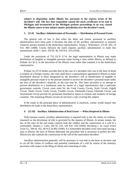**subject to disposition under Illinois law pursuant to the express terms of the decedent's will. The fact that respondent caused the stock certificates to be sent to Michigan and inventoried in the Michigan probate proceedings in no way caused the Illinois courts to lose subject matter jurisdiction over the decedent's stock.** 

#### **3. [15.9] Ancillary Administration of Personalty — Distribution of Personal Estate**

 The general rule of law is that when the debts and claims presented in ancillary administration have been paid, it becomes the duty of the ancillary representative to transmit whatever amount remains to the domiciliary representative. *Young v. Wittenmyre,* 123 Ill. 303, 14 N.E. 869 (1888). Comity between the states requires ancillary administrators to make this transmission. *Kelly v. Dyer,* 359 Ill. 46, 194 N.E. 255 (1934).

 Under the provisions of 755 ILCS 5/7-6, the legal representative in Illinois may make distribution of tangible or intangible personal estate having a situs within Illinois, as defined in Probate Act §5-2, in the discretion of the Illinois court rather than transmit it to the domiciliary representative.

 Probate Act §7-6 further provides that in the case of a decedent who was at the time of death a resident of a foreign country, the court shall direct a representative appointed in Illinois to make distribution directly to those designated by the decedent's will as beneficiaries of tangible or intangible personal estate or to the persons entitled to receive the decedent's personal estate under the laws of the decedent's domicile, as the case may be. This latter provision is an attempt to prevent distribution to a totalitarian state by means of a legal representative that a particular government controls. Circuit court rules for the Cook County Circuit, Sixth Circuit, Eighth Circuit, Ninth Circuit, Tenth Circuit, Twelfth Circuit, Thirteenth Circuit, Fifteenth Circuit, and Seventeenth Circuit provide for permanent distributive shares to citizens and residents of foreign countries. The remaining Illinois circuits do not have a rule covering this subject.

 If the estate in the principal place of administration is insolvent, comity would require that distribution be made to the domiciliary representative.

#### **4. [15.10] Ancillary Administration of Real Estate — When Required in Illinois**

 With intestate estates, ancillary administration is required only to bar the claims of creditors, inasmuch as the devolution of title is governed by the statutes of Illinois. In testate estates, the law of the situs of the real estate controls both the validity and the construction of a will of a nonresident. *Headen v. Cohn,* 292 Ill. 210, 126 N.E. 550 (1920); *Sternberg v. St. Louis Union Trust Co.,* 394 Ill. 452, 68 N.E.2d 892 (1946). If a nonresident decedent owns real estate having a situs in Illinois, the laws of Illinois determine the procedure that is necessary to perfect the title. Illinois law also controls the construction of the will of the nonresident decedent.

 Ancillary administration generally will be necessary to vest title in the heirs or devisees and to cut off the claims of creditors and potential contestants of a will by reason of the statutory provision with respect to the filing of claims and contesting of wills.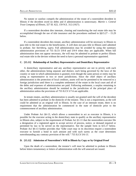No statute or caselaw compels the administration of the estate of a nonresident decedent in Illinois if the decedent owed no debts and if administration is unnecessary. *Martin v. Central Trust Company of Illinois,* 327 Ill. 622, 159 N.E. 312 (1927).

 If a nonresident decedent dies intestate, clearing and transferring the real estate title may be accomplished through the use of title insurance and the procedures outlined in §§15.27 – 15.29 below.

 If a nonresident decedent dies testate, ancillary administration will be necessary in Illinois to pass title to the real estate to the beneficiaries. A will does not pass title in Illinois until admitted to probate. *See Sternberg, supra.* Full administration may be avoided by using the summary administration provisions of 755 ILCS 5/9-8 and 5/9-9 when they are applicable. When full administration does not appear necessary, the will may be admitted to probate to perfect Illinois real estate title in the devises without the need to have a personal representative appointed.

#### **C. [15.11] Relationship of Ancillary Representative and Domiciliary Representative**

 A domiciliary representative and any ancillary representative are not in privity with each other, the administrations being separate and distinct, each being governed by the laws of the country or state in which administration is granted, even though the same person or entity may be acting as representative in two or more jurisdictions. Since the chief object of ancillary administration is the protection of local creditors, assets will not be permitted to be removed to a foreign jurisdiction until there is a complete settlement of the estate in the local court and all of the debts and expenses of administration are paid. Following settlement, a surplus remaining in the ancillary administration should be remitted to the jurisdiction of the principal place of administration unless the provisions of 755 ILCS 5/7-6 are applicable.

 In testate estates, ancillary administration is usually not granted until the will of the decedent has been admitted to probate in the domicile of the testator. This is not a requirement, as the will could be admitted as an original will in Illinois. In the case of an intestate estate, there is no requirement that the administration be commenced in the state of domicile prior to the commencement of ancillary administration.

 Under Probate Act §6-13, which allows a nonresident to act as executor in Illinois, it is possible for the executor acting in the domiciliary state to qualify as the ancillary representative in Illinois also, subject to the requirement of Probate Act §1-11 that the nonresident executor file a designation of a registered agent to accept service of process, notice, or demand required or permitted by law to be served on the representative. See the sample form in §15.17 below. Probate Act §6-13 further provides that "[t]he court may in its discretion require a nonresident executor to furnish a bond in such amount and with such surety as the court determines notwithstanding any contrary provision of the will." 755 ILCS 5/6-13.

#### **D. [15.12] Admission of Nonresident's Will in Illinois by Copy or by Original Proof**

 Upon the death of a nonresident, the testator's will must be admitted to probate in Illinois before letters testamentary or letters of administration with the will annexed are issued.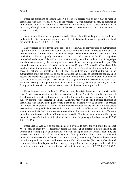Under the provisions of Probate Act §7-3, proof of a foreign will by copy may be made in accordance with the provisions of §7-1 of the Probate Act, or an original will may be admitted to probate upon proof that "the will was executed outside [Illinois] in accordance with the law of this State, of the place where executed or of the testator's domicile at the time of its execution." 755 ILCS 5/7-1(b).

 "A written will admitted to probate outside [Illinois] is sufficiently proved to admit it to probate in this State by introducing in evidence [in Illinois] an authenticated copy of the will and the probate thereof." 755 ILCS  $5/7-3(a)$ .

 The procedure to be followed in the proof of a foreign will by copy requires an authenticated copy of the will. An authenticated copy of the order admitting the will to probate in the place of original admission to probate must be obtained. Request should be made of the clerk of the court in which the will was originally admitted to probate. The clerk's certificate should be stamped on or attached to the copy of the will and the order admitting the will to probate; one of the judges and the clerk must verify that the signature and acts of the other are genuine and proper. This authentication is sometimes referred to as "under act of Congress." As stated in §15.4 above, it is good to include the petition for probate of the will in the original place of administration and to cause the petition for probate of the will, the will, and the order probating the will to be authenticated under the certificate of one of the judges and the clerk as exemplified copies. Upon receipt, the exemplified copies should be filed in the office of the clerk where probate will be had as provided in Probate Act §5-1, the same as if the original will of the decedent were being filed. Upon the hearing on the petition to admit the will to probate, the exemplified copy from the foreign jurisdiction will be presented to the court as in the case of an original will.

 Under the provisions of Probate Act §7-4, there may be original proof of a foreign will in this state. A will executed outside this state in accordance with the Probate Act is sufficiently proved for admission to probate in Illinois when proved in Illinois in the manner provided in the Probate Act for proving wills executed in Illinois. Likewise, "[a] will executed outside [Illinois] in accordance with the law of the place where executed is sufficiently proved to admit it to probate in [Illinois] when proved in [Illinois] in the manner provided by the law of the place where executed for proving wills there executed." 755 ILCS 5/7-4(b). A will executed outside Illinois in accordance with the law of the testator's domicile at the time of its execution is sufficiently proved for admission to probate in Illinois when proved in Illinois "in the manner provided by the law of the testator's domicile at the time of its execution for proving wills there executed." 755 ILCS 5/7-4(c).

 Under Probate Act §6-4(b), the statements of a witness to prove the will under Probate Act  $§6-4(a)$  may be made by "(1) testimony before the court, (2) an attestation clause signed by the witness and forming a part of or attached to the will or (3) an affidavit which is signed by the witness at or after the time of attestation and which forms part of the will or is attached to the will or to an accurate facsimile of the will." 755 ILCS 5/6-4(b). Even though there may be testimony in conformity with the statute, a will proved as provided in Probate Act §7-4 may not be admitted to probate "when there is proof of fraud, forgery, compulsion or other improper conduct which in the opinion of the court is deemed sufficient to invalidate or destroy the will." 755 ILCS 5/7-4(d).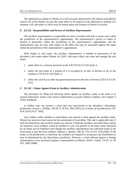The admission to probate in Illinois of a will executed and proved in the manner provided by Article VII of the Probate Act has the same effect in all respects as the admission to probate of a domestic will, and letters of office may be issued unless the issuance of letters is excused.

#### **E. [15.13] Responsibilities and Powers of Ancillary Representative**

 The ancillary representative is responsible for and is invested with title to assets only within the jurisdiction of the representative's appointment. The representative's power to collect is limited to personalty within the jurisdiction of the representative's appointment, and the representative may act only with respect to the debts that may be presented against the estate within the jurisdiction of the representative's appointment.

 With respect to real estate, the ancillary representative is entitled to possession of the decedent's real estate under Probate Act §20-1 and must collect any rents and manage the real estate

- 1. unless there is a contrary provision in the will (755 ILCS 5/20-1(a)); or
- 2. unless the real estate or a portion of it is occupied by an heir or devisee as his or her residence (755 ILCS 5/20-1(b)); or
- 3. unless the court by its order has granted possession to the heir or devisee (755 ILCS 5/20-  $1(c)$ ).

#### **F. [15.14] Claims Against Estate in Ancillary Administration**

 The procedure for filing and allowing claims against an ancillary estate is the same as in normal domiciliary estates with certain modifications to protect Illinois creditors. See Chapter 5 of this handbook.

 A creditor may not reassert a claim that was time-barred in the decedent's domiciliary jurisdiction. *Strauss v. Phillips,* 189 Ill. 9, 59 N.E. 560 (1901); *In re Estate of Laschkewitsch,* 507 N.W.2d 65 (N.D. 1993).

 Any creditor, either resident or nonresident, may present a claim against the ancillary estate. Illinois law preserves local assets for the satisfaction of local debts. This rule is applicable only if both the domiciliary and ancillary estates are solvent. If both the ancillary and domiciliary estates are insolvent, local creditors would be entitled to a pro rata portion of all estate assets measured by all assets and all liabilities even though the ancillary representative has sufficient funds in the local estate to pay the local creditors. *Ramsey v. Ramsey,* 196 Ill. 179, 63 N.E. 618 (1902). If the estate, in all jurisdictions, is insolvent, the creditors are required to accept pro rata distribution as may be determined by the domiciliary jurisdiction. However, a claim allowed against a foreign representative is not conclusive against a representative in Illinois. *Smith v. Smith,* 174 Ill. 52, 50 N.E. 1083 (1898).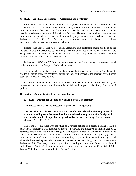#### **G. [15.15] Ancillary Proceedings — Accounting and Settlement**

 If the ancillary estate is solvent following the payment of the debts of local creditors and the payment of the costs and expenses of administration, then upon order, distribution will be made in accordance with the laws of the domicile of the decedent and not the laws of Illinois. If the decedent died testate, the terms of the will are followed. The court may, in either a testate estate or an intestate estate, elect to transfer to the domiciliary representative or to distributees under the Probate Act. 755 ILCS 5/7-6. With respect to foreign country distributees, §7-6 allows distribution only to these distributees. See §15.9 above.

 Except when Probate Act §7-6 controls, accounting and settlement among the heirs or the legatees are properly performed by the principal representative, not by an ancillary representative. See §15.9 above with respect to the manner in which Probate Act §7-6 changes the rule in certain circumstances, including with an intestate estate.

 Probate Act §§27-1 and 27-2 control the allowance of the fees to the legal representative and to the attorney. See also Chapter 16 of this handbook.

 The personal representative in an ancillary proceeding must, upon the closing of the estate and the discharge of the representative, satisfy the court with respect to the payment of the Illinois estate tax (if any) that may be due.

 If there is included in the ancillary administration real estate that has not been sold, the representative must comply with Probate Act §20-24 with respect to the filing of a notice of probate.

#### **H. Ancillary Administration Procedure and Forms**

#### **1. [15.16] Petition for Probate of Will and Letters Testamentary**

The Probate Act outlines the procedure for probate of a foreign will:

**The provisions of this Act concerning the procedure for the admission to probate of a domestic will govern the procedure for the admission to probate of a foreign will sought to be admitted to probate as provided by this Article, except for the manner of proof.** 755 ILCS 5/7-2.

 The estate is commenced with the filing of a verified petition of a person desiring to have a nonresident decedent's will admitted to probate. Following the directive of Probate Act §7-2, reference must be made to Probate Act §6-10 with respect to notice or waiver. If all of the heirs and legatees execute waivers in accordance with the provisions of Probate Act §6-10(b), further notice is not required. When proof of a foreign will by copy is made under Probate Act §7-3 and all of the heirs and legatees do not execute waivers, notice must be given in accordance with Probate Act §6-10(a), except as to the rights of heirs and legatees to require formal proof of a will under Probate Act §6-21, the notice being in the form prescribed by Supreme Court Rule 108(b), Foreign Wills Proved by Copy, effective August 1, 1992.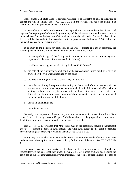Notice under S.Ct. Rule 108(b) is required with respect to the rights of heirs and legatees to contest the will in Illinois under 755 ILCS 5/8-1 if the foreign will has been admitted in accordance with the provisions of 755 ILCS 5/7-3.

 Notice under S.Ct. Rule 108(a) (Form 1) is required with respect to the rights of heirs and legatees "to require proof of the will by testimony of the witnesses to the will in open court or other evidence" under Probate Act §6-21 and to contest the will under Probate Act §8-1 if the foreign will has been admitted in accordance with the provisions of Probate Act §7-4, if all of the heirs and legatees do not execute waivers.

 In addition to the petition for admission of the will to probate and any appearances, the following executed forms will be needed with the ancillary administration:

- a. the exemplified copy of the foreign will admitted to probate in the domiciliary state together with the order of probate (see §15.12 above);
- b. an affidavit as to copy of the will, if required (see §15.12 above);
- c. the oath of the representative and bond of the representative unless bond or security is excused by the will or is not required by the court;
- d. the order admitting the will to probate (see §15.18 below);
- e. the order appointing the representative setting out that a bond of the representative in the amount from time to time required by statute shall be in full force and effect without writing if a bond or security is excused in the will and if the court has not required the filing of a written bond or order appointing the representative setting out the amount of the bond and the approval of the bond;
- f. affidavits of heirship; and
- g. the order of heirship.

Generally, the preparation of items  $b - g$  above is the same as if prepared for a domiciliary estate. Refer to the suggestions in Chapter 2 of this handbook for the preparation of these forms. In addition, these forms may be provided by the local clerk's office.

 Probate Act §6-13 provides that "the court may in its discretion require a nonresident executor to furnish a bond in such amount and with such surety as the court determines notwithstanding any contrary provision of the will." 755 ILCS 5/6-13.

 Surety may be waived to the extent that the personal estate is deposited within the jurisdiction under an order allowing it to be withdrawn only by further order of the court. See 755 ILCS 5/12- 7.

 The court may insist on surety on the bond of the representative, even though the representative is the sole beneficiary under the will, to protect Illinois creditors and because the court has no in personam jurisdiction over an individual who resides outside Illinois other than as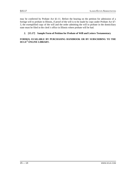may be conferred by Probate Act §1-11. Before the hearing on the petition for admission of a foreign will to probate in Illinois, if proof of the will is to be made by copy under Probate Act §7- 3, the exemplified copy of the will and the order admitting the will to probate in the domiciliary state must be filed in the clerk's office in Illinois where probate will be had.

#### **2. [15.17] Sample Form of Petition for Probate of Will and Letters Testamentary**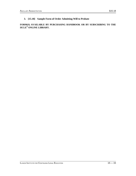**3. [15.18] Sample Form of Order Admitting Will to Probate**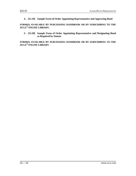**4. [15.19] Sample Form of Order Appointing Representative and Approving Bond** 

**FORM(S) AVAILABLE BY PURCHASING HANDBOOK OR BY SUBSCRIBING TO THE IICLE® ONLINE LIBRARY.** 

 **5. [15.20] Sample Form of Order Appointing Representative and Designating Bond as Required by Statute**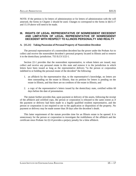NOTE: If the petition is for letters of administration or for letters of administration with the will annexed, the forms in Chapter 2 should be used. Changes to correspond to the forms in §§15.17 and 15.19 above will need to be made.

#### **III. RIGHTS OF LEGAL REPRESENTATIVE OF NONRESIDENT DECEDENT AND LIMITATION OF LEGAL REPRESENTATIVE OF NONRESIDENT DECEDENT WITH RESPECT TO ILLINOIS PERSONALTY AND REALTY**

#### **A. [15.21] Taking Possession of Personal Property of Nonresident Decedent**

 The personal representative of a nonresident decedent has the power under the Probate Act to collect and receive the nonresident decedent's personal property located in Illinois and to remove it to the domiciliary jurisdiction. 755 ILCS 5/22-1.

 Section 22-1 provides that the nonresident representative, to whom letters are issued, may collect and receive any personal estate in this state and remove it to the jurisdiction in which letters have been issued as long as the representative delivers "to the person or corporation indebted to or holding the personal estate of the decedent" the following:

- 1. an affidavit by the representative that, to the representative's knowledge, no letters are then outstanding on the estate in Illinois, that no petition for letters is pending on the estate in Illinois, and that there are no creditors of the estate in Illinois; and
- 2. a copy of the representative's letters issued by the domiciliary state, certified within 60 days before the date of presentation.

 The statute further provides that, upon payment or delivery of the assets, following the receipt of the affidavit and certified copy, the person or corporation is released to the same extent as if the payment or delivery had been made to a legally qualified resident representative, and the person or corporation is not required to see to the application or disposition of the property. No payment or delivery may be made sooner than 30 days after the decedent's death.

 This latter requirement of the statute provides time for an Illinois estate to be opened. It is unnecessary for the person or corporation to investigate the truthfulness of the affidavit and the certificate since Probate Act §1-8 provides a perjury penalty for a false affidavit.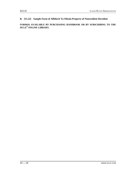#### **B. [15.22] Sample Form of Affidavit To Obtain Property of Nonresident Decedent**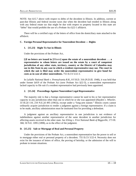NOTE: See §15.7 above with respect to debts of the decedent in Illinois. In addition, current or past-due Illinois and federal income taxes due when the decedent had resided in Illinois along with any federal estate tax that might be due with respect to property located in this state are "debts" that would prohibit the use of a Probate Act §22-1 affidavit.

 There will be a certified copy of the letters of office from the domiciliary state attached to the affidavit.

#### **C. Foreign Personal Representative for Nonresident Decedent — Rights**

#### **1. [15.23] Right To Sue in Illinois**

Under the provisions of the Probate Act,

**[**i**]f no letters are issued in [**Illinois**] upon the estate of a nonresident decedent . . . a representative to whom letters are issued on the estate by a court of competent jurisdiction of any other state, territory, country or the District of Columbia may sue in this State in any case in which a resident representative may sue. The court in which the suit is filed may order the nonresident representative to give bond for costs as in case of other nonresidents.** 755 ILCS 5/22-3.

 In *LaSalle National Bank v. Pennsylvania R.R.,* 8 F.R.D. 316 (N.D.Ill. 1948), it was held that under former §419 of the Probate Act (now Probate Act §22-3), a nonresident representative lacked capacity to file suit if a resident representative had previously been appointed.

#### **2. [15.24] Proceedings Against Nonresident Legal Representative**

 The majority rule is that a foreign representative cannot be sued in his or her representative capacity in any jurisdiction other than one in which he or she was appointed (*Hayden v. Wheeler,* 33 Ill.2d 110, 210 N.E.2d 495 (1965)), except under a "long-arm statute." Illinois courts cannot ordinarily acquire jurisdiction to render a judgment against a foreign representative. If a claim is to be made, ancillary administration must be instituted first for providing a defendant.

 A judgment against an ancillary representative in one jurisdiction is not evidence of indebtedness against another representative of the same decedent in another jurisdiction for affecting assets received in the other state. *See Elting v. First National Bank of Biggsville,* 173 Ill. 368, 50 N.E. 1095 (1898), as to the effect of the judgment.

#### **D. [15.25] Sale or Mortgage of Real and Personal Property**

 Under the provisions of the Probate Act, a nonresident representative has the power to sell or to mortgage either real or personal property of a decedent. 755 ILCS 5/22-4. Necessity does not exist for the issuance of letters of office, the proving of heirship, or the admission of the will to probate in testate situations.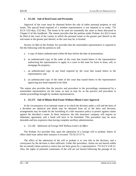#### **1. [15.26] Sale of Real Estate and Personalty**

 Approval of the court must be obtained before the sale of either personal property or real estate. The special bond required of a resident representative is not required as to realty. 755 ILCS  $5/22-4(a)$ ,  $5/22-4(c)$ . The forms to be used are essentially the same as those discussed in Chapter 6 of this handbook. The statute provides that the petition under Probate Act  $\S 22$ -4 must be filed in the court of the county in which the personal estate or the greater part thereof or the real estate or the greater part thereof, as the case may be, is located.

 Section 22-4(b) of the Probate Act provides that the nonresident representative is required to file the following with the petition to sell:

- a. a copy of letters authenticated within 60 days before the date of presentation;
- b. an authenticated copy of the order of the court that issued letters to the representative authorizing the representative to apply to a court in this state for leave to lease, sell, or mortgage the property;
- c. an authenticated copy of any bond required by the court that issued letters to the representative; and
- d. an authenticated copy of the order of the court that issued letters to the representative approving any bond required to be filed.

The statute also provides that the practice and procedure in the proceedings commenced by a nonresident representative are the same, as near as may be, as the practice and procedure in similar proceedings brought by resident representatives.

#### **2. [15.27] Sale of Illinois Real Estate Without Illinois Court Approval**

 In the circumstance of an intestate estate or in which the devisees under a will and the heirs of a decedent are identical and deeds may be obtained from all of the heirs and devisees, arrangements may be made for the furnishing of a title insurance policy to protect against claims against the decedent's estate. In these instances, the title insurance company will request an indemnity agreement, and a bond will have to be furnished. This procedure may be more desirable and less expensive than having complete ancillary administration.

#### *a. [15.28] Admission of Foreign Will Without Letters of Office*

 The Probate Act provides that, upon the admission of a foreign will to probate, letters of office shall issue unless their issuance is excused. 755 ILCS 5/7-5.

 The effect of the admission of the will to probate is to vest title in the devisees, and a conveyance by the devisees is then sufficient. Under this procedure, claims are not barred within the six-month claims period as notice has not been given by a representative. 755 ILCS 5/18-12. Also, the rights of potential contestants of the will are not barred following the passage of six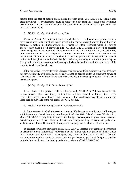months from the date of probate unless notice has been given. 755 ILCS 5/8-1. Again, under these circumstances, arrangements should be made with a title company to issue a policy without exception for claims and without exception for possible contest of the will so title protection may be assured to the buyer.

#### *b. [15.29] Foreign Will with Power of Sale*

 Under the Probate Act, in those instances in which a foreign will contains a power of sale in the executor who is duly qualified and is acting in the state of original probate, the will may be admitted to probate in Illinois without the issuance of letters, following which the foreign executor may make a deed conveying title. 755 ILCS 5/22-6. Caution is advised as possible claimants against the estate and possible contestants of the will are not affected, and, therefore, protection must be afforded to the purchaser through the use of title insurance. Section 22-6 may not be used if letters are issued. Care should be taken to provide that letters will not issue. If notice has been given under Probate Act §8-1 following the entry of the order probating the foreign will, and the six-month period has elapsed when the deed is issued, the rights of possible contestants will have been barred.

 If the nonresident representative is a foreign trust company doing business in a state that does not have reciprocity with Illinois, title usually cannot be derived under an executor's power of sale unless the terms of the will are such that a qualified executor appointed in Illinois could exercise the power.

#### *c. [15.30] Foreign Will Without Power of Sale*

 In the absence of a power of sale in a foreign will, 755 ILCS 5/22-4 may be used. This section provides that even though letters have not been issued in Illinois, the foreign representative of the estate of a decedent who owned Illinois real estate may file a petition for the lease, sale, or mortgage of the real estate. See §15.28 above.

#### *d. [15.31] Qualification by Foreign Legal Representative*

 In those instances in which the executor is not qualified or cannot qualify to act in Illinois, an administrator with the will annexed must be appointed. See §4-1 of the Corporate Fiduciary Act, 205 ILCS 620/1-1, *et seq.* In that instance, the foreign trust company may not, as an executor, exercise a power of sale over Illinois real estate even though ancillary proceedings to probate the will are had in Illinois. Therefore, the foreign trust company must decline to act in Illinois.

 In accordance with the provisions of 205 ILCS 620/4-2, a foreign trust company incorporated in a state that allows Illinois trust companies to qualify in that state may qualify in Illinois. Under those circumstances, the foreign trust company may act as an Illinois executor. Before the time any foreign corporation acts in this state under the provisions of §4-2, that foreign corporation must obtain a certificate of reciprocity under the provisions of 205 ILCS 620/4-5.